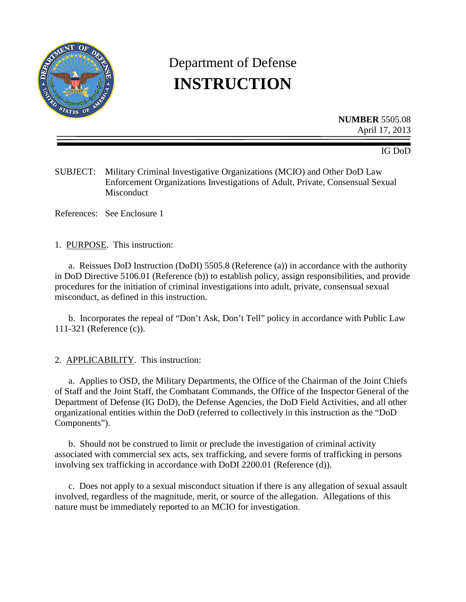

# Department of Defense **INSTRUCTION**

**NUMBER** 5505.08 April 17, 2013

IG DoD

SUBJECT: Military Criminal Investigative Organizations (MCIO) and Other DoD Law Enforcement Organizations Investigations of Adult, Private, Consensual Sexual Misconduct

References: See Enclosure 1

1. PURPOSE. This instruction:

a. Reissues DoD Instruction (DoDI) 5505.8 (Reference (a)) in accordance with the authority in DoD Directive 5106.01 (Reference (b)) to establish policy, assign responsibilities, and provide procedures for the initiation of criminal investigations into adult, private, consensual sexual misconduct, as defined in this instruction.

b. Incorporates the repeal of "Don't Ask, Don't Tell" policy in accordance with Public Law 111-321 (Reference (c)).

#### 2. APPLICABILITY. This instruction:

a. Applies to OSD, the Military Departments, the Office of the Chairman of the Joint Chiefs of Staff and the Joint Staff, the Combatant Commands, the Office of the Inspector General of the Department of Defense (IG DoD), the Defense Agencies, the DoD Field Activities, and all other organizational entities within the DoD (referred to collectively in this instruction as the "DoD Components").

b. Should not be construed to limit or preclude the investigation of criminal activity associated with commercial sex acts, sex trafficking, and severe forms of trafficking in persons involving sex trafficking in accordance with DoDI 2200.01 (Reference (d)).

c. Does not apply to a sexual misconduct situation if there is any allegation of sexual assault involved, regardless of the magnitude, merit, or source of the allegation. Allegations of this nature must be immediately reported to an MCIO for investigation.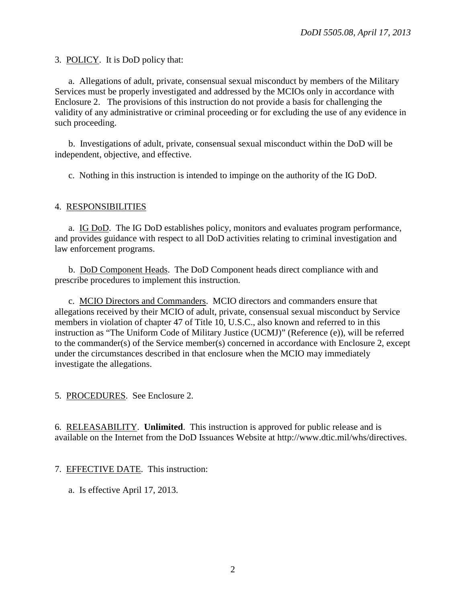3. POLICY. It is DoD policy that:

a. Allegations of adult, private, consensual sexual misconduct by members of the Military Services must be properly investigated and addressed by the MCIOs only in accordance with Enclosure 2. The provisions of this instruction do not provide a basis for challenging the validity of any administrative or criminal proceeding or for excluding the use of any evidence in such proceeding.

b. Investigations of adult, private, consensual sexual misconduct within the DoD will be independent, objective, and effective.

c. Nothing in this instruction is intended to impinge on the authority of the IG DoD.

#### 4. RESPONSIBILITIES

a. IG DoD. The IG DoD establishes policy, monitors and evaluates program performance, and provides guidance with respect to all DoD activities relating to criminal investigation and law enforcement programs.

b. DoD Component Heads. The DoD Component heads direct compliance with and prescribe procedures to implement this instruction.

c. MCIO Directors and Commanders. MCIO directors and commanders ensure that allegations received by their MCIO of adult, private, consensual sexual misconduct by Service members in violation of chapter 47 of Title 10, U.S.C., also known and referred to in this instruction as "The Uniform Code of Military Justice (UCMJ)" (Reference (e)), will be referred to the commander(s) of the Service member(s) concerned in accordance with Enclosure 2, except under the circumstances described in that enclosure when the MCIO may immediately investigate the allegations.

5. PROCEDURES. See Enclosure 2.

6. RELEASABILITY. **Unlimited**. This instruction is approved for public release and is available on the Internet from the DoD Issuances Website at http://www.dtic.mil/whs/directives.

#### 7. EFFECTIVE DATE. This instruction:

a. Is effective April 17, 2013.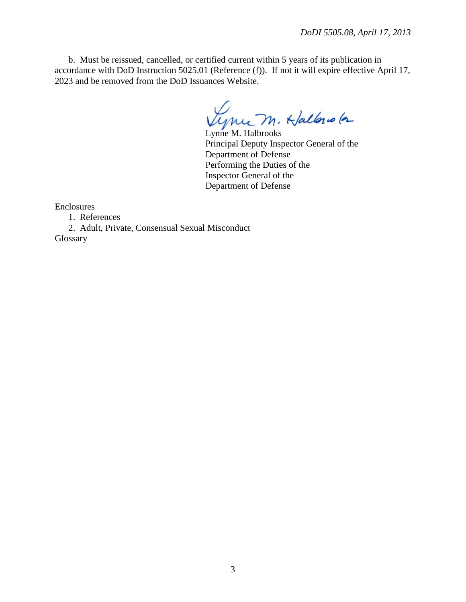b. Must be reissued, cancelled, or certified current within 5 years of its publication in accordance with DoD Instruction 5025.01 (Reference (f)). If not it will expire effective April 17, 2023 and be removed from the DoD Issuances Website.

Vynue M. Hallono (a

Principal Deputy Inspector General of the Department of Defense Performing the Duties of the Inspector General of the Department of Defense

Enclosures

1. References

2. Adult, Private, Consensual Sexual Misconduct Glossary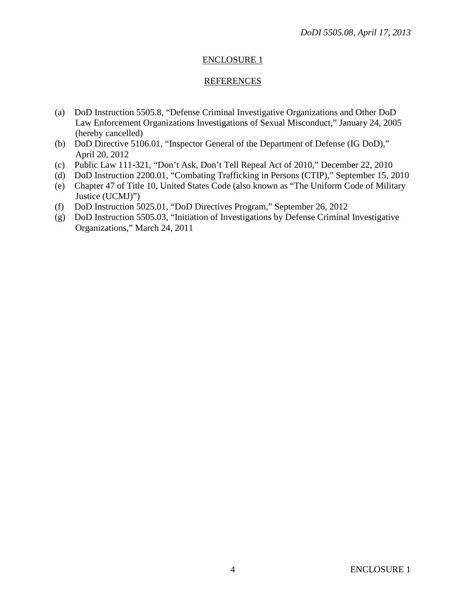## ENCLOSURE 1

### REFERENCES

- (a) DoD Instruction 5505.8, "Defense Criminal Investigative Organizations and Other DoD Law Enforcement Organizations Investigations of Sexual Misconduct," January 24, 2005 (hereby cancelled)
- (b) DoD Directive 5106.01, "Inspector General of the Department of Defense (IG DoD)," April 20, 2012
- (c) Public Law 111-321, "Don't Ask, Don't Tell Repeal Act of 2010," December 22, 2010
- (d) DoD Instruction 2200.01, "Combating Trafficking in Persons (CTIP)," September 15, 2010
- (e) Chapter 47 of Title 10, United States Code (also known as "The Uniform Code of Military Justice (UCMJ)")
- (f) DoD Instruction 5025.01, "DoD Directives Program," September 26, 2012
- (g) DoD Instruction 5505.03, "Initiation of Investigations by Defense Criminal Investigative Organizations," March 24, 2011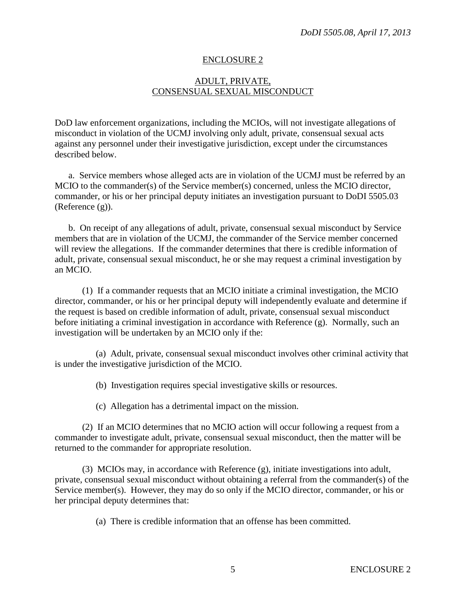### ENCLOSURE 2

### ADULT, PRIVATE, CONSENSUAL SEXUAL MISCONDUCT

DoD law enforcement organizations, including the MCIOs, will not investigate allegations of misconduct in violation of the UCMJ involving only adult, private, consensual sexual acts against any personnel under their investigative jurisdiction, except under the circumstances described below.

a. Service members whose alleged acts are in violation of the UCMJ must be referred by an MCIO to the commander(s) of the Service member(s) concerned, unless the MCIO director, commander, or his or her principal deputy initiates an investigation pursuant to DoDI 5505.03 (Reference (g)).

b. On receipt of any allegations of adult, private, consensual sexual misconduct by Service members that are in violation of the UCMJ, the commander of the Service member concerned will review the allegations. If the commander determines that there is credible information of adult, private, consensual sexual misconduct, he or she may request a criminal investigation by an MCIO.

(1) If a commander requests that an MCIO initiate a criminal investigation, the MCIO director, commander, or his or her principal deputy will independently evaluate and determine if the request is based on credible information of adult, private, consensual sexual misconduct before initiating a criminal investigation in accordance with Reference (g). Normally, such an investigation will be undertaken by an MCIO only if the:

(a) Adult, private, consensual sexual misconduct involves other criminal activity that is under the investigative jurisdiction of the MCIO.

(b) Investigation requires special investigative skills or resources.

(c) Allegation has a detrimental impact on the mission.

(2) If an MCIO determines that no MCIO action will occur following a request from a commander to investigate adult, private, consensual sexual misconduct, then the matter will be returned to the commander for appropriate resolution.

(3) MCIOs may, in accordance with Reference (g), initiate investigations into adult, private, consensual sexual misconduct without obtaining a referral from the commander(s) of the Service member(s). However, they may do so only if the MCIO director, commander, or his or her principal deputy determines that:

(a) There is credible information that an offense has been committed.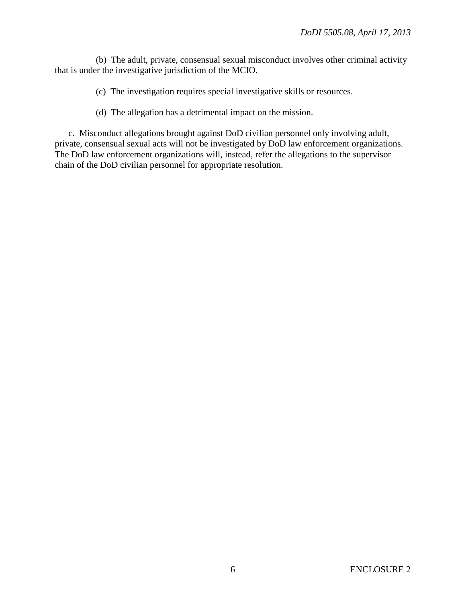(b) The adult, private, consensual sexual misconduct involves other criminal activity that is under the investigative jurisdiction of the MCIO.

- (c) The investigation requires special investigative skills or resources.
- (d) The allegation has a detrimental impact on the mission.

c. Misconduct allegations brought against DoD civilian personnel only involving adult, private, consensual sexual acts will not be investigated by DoD law enforcement organizations. The DoD law enforcement organizations will, instead, refer the allegations to the supervisor chain of the DoD civilian personnel for appropriate resolution.